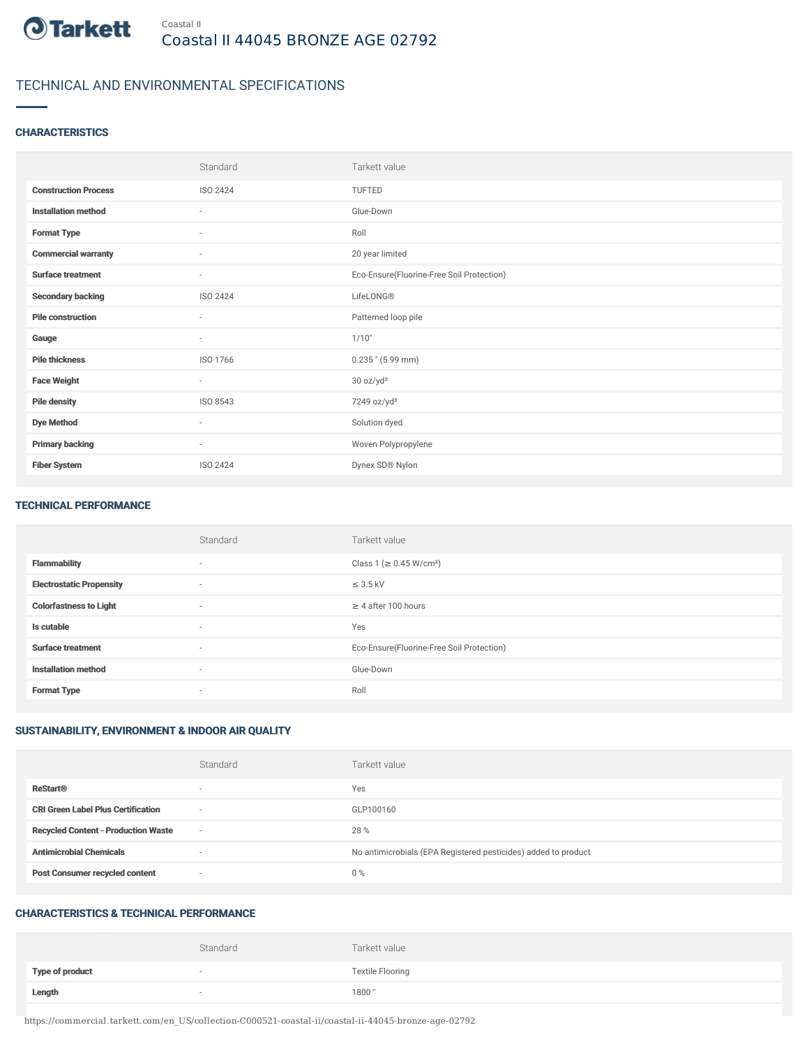

# TECHNICAL AND ENVIRONMENTAL SPECIFICATIONS

### **CHARACTERISTICS**

|                             | Standard                 | Tarkett value                             |
|-----------------------------|--------------------------|-------------------------------------------|
| <b>Construction Process</b> | ISO 2424                 | <b>TUFTED</b>                             |
| <b>Installation method</b>  | $\sim$                   | Glue-Down                                 |
| <b>Format Type</b>          | $\sim$                   | Roll                                      |
| <b>Commercial warranty</b>  | $\sim$                   | 20 year limited                           |
| <b>Surface treatment</b>    | $\sim$                   | Eco-Ensure(Fluorine-Free Soil Protection) |
| <b>Secondary backing</b>    | ISO 2424                 | LifeLONG®                                 |
| <b>Pile construction</b>    | ٠                        | Patterned loop pile                       |
| Gauge                       | $\overline{\phantom{a}}$ | 1/10"                                     |
| <b>Pile thickness</b>       | ISO 1766                 | $0.235$ " (5.99 mm)                       |
| <b>Face Weight</b>          | $\sim$                   | 30 oz/yd <sup>2</sup>                     |
| <b>Pile density</b>         | ISO 8543                 | 7249 oz/yd <sup>3</sup>                   |
| <b>Dye Method</b>           | $\overline{\phantom{a}}$ | Solution dyed                             |
| <b>Primary backing</b>      | $\sim$                   | Woven Polypropylene                       |
| <b>Fiber System</b>         | <b>ISO 2424</b>          | Dynex SD® Nylon                           |

#### TECHNICAL PERFORMANCE

|                                 | Standard                 | Tarkett value                             |
|---------------------------------|--------------------------|-------------------------------------------|
| <b>Flammability</b>             | $\overline{\phantom{a}}$ | Class 1 (≥ 0.45 W/cm <sup>2</sup> )       |
| <b>Electrostatic Propensity</b> | $\sim$                   | $\leq$ 3.5 kV                             |
| <b>Colorfastness to Light</b>   | $\sim$                   | $\geq$ 4 after 100 hours                  |
| Is cutable                      | $\sim$                   | Yes                                       |
| <b>Surface treatment</b>        | $\sim$                   | Eco-Ensure(Fluorine-Free Soil Protection) |
| <b>Installation method</b>      | $\sim$                   | Glue-Down                                 |
| <b>Format Type</b>              | $\sim$                   | Roll                                      |

### SUSTAINABILITY, ENVIRONMENT & INDOOR AIR QUALITY

|                                            | Standard                 | Tarkett value                                                  |
|--------------------------------------------|--------------------------|----------------------------------------------------------------|
| <b>ReStart®</b>                            | $\overline{\phantom{a}}$ | Yes                                                            |
| <b>CRI Green Label Plus Certification</b>  | $\overline{\phantom{a}}$ | GLP100160                                                      |
| <b>Recycled Content - Production Waste</b> | $\overline{\phantom{a}}$ | 28 %                                                           |
| <b>Antimicrobial Chemicals</b>             | <b>1999</b>              | No antimicrobials (EPA Registered pesticides) added to product |
| <b>Post Consumer recycled content</b>      | $\overline{\phantom{a}}$ | $0\%$                                                          |

#### CHARACTERISTICS & TECHNICAL PERFORMANCE

|                        | Standard | Tarkett value           |
|------------------------|----------|-------------------------|
| <b>Type of product</b> |          | <b>Textile Flooring</b> |
| Length                 |          | 1800"                   |

https://commercial.tarkett.com/en\_US/collection-C000521-coastal-ii/coastal-ii-44045-bronze-age-02792